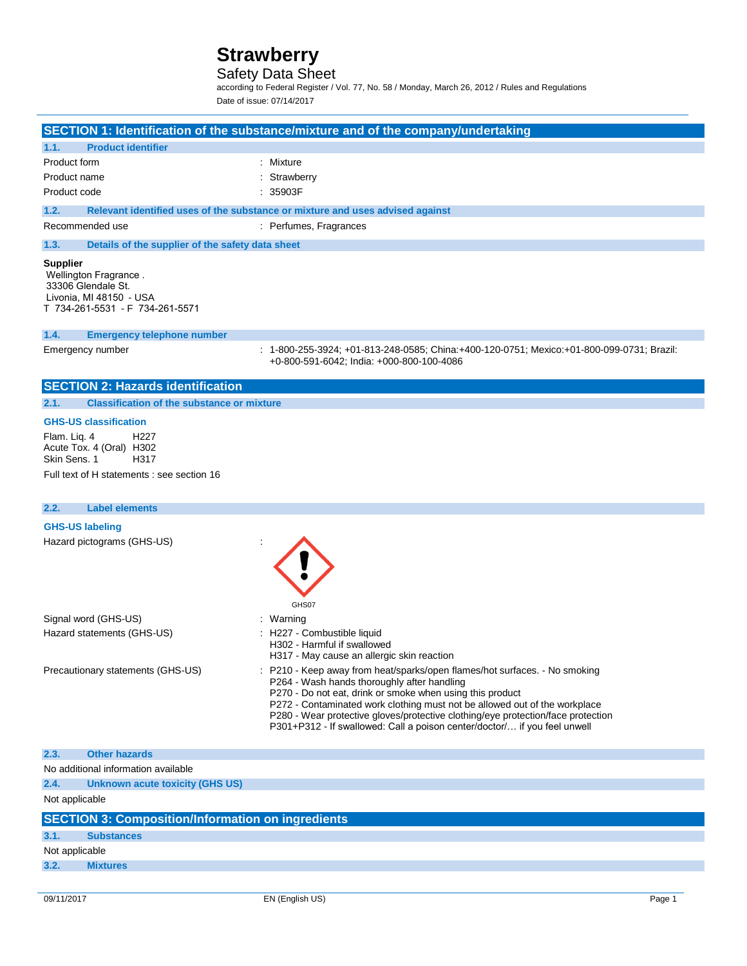### Safety Data Sheet

according to Federal Register / Vol. 77, No. 58 / Monday, March 26, 2012 / Rules and Regulations Date of issue: 07/14/2017

|                                                                                                                              | SECTION 1: Identification of the substance/mixture and of the company/undertaking                                                                                                                                                                                                                                                                                                                                                     |
|------------------------------------------------------------------------------------------------------------------------------|---------------------------------------------------------------------------------------------------------------------------------------------------------------------------------------------------------------------------------------------------------------------------------------------------------------------------------------------------------------------------------------------------------------------------------------|
| <b>Product identifier</b><br>1.1.                                                                                            |                                                                                                                                                                                                                                                                                                                                                                                                                                       |
| Product form                                                                                                                 | Mixture                                                                                                                                                                                                                                                                                                                                                                                                                               |
| Product name                                                                                                                 | Strawberry                                                                                                                                                                                                                                                                                                                                                                                                                            |
| Product code                                                                                                                 | 35903F                                                                                                                                                                                                                                                                                                                                                                                                                                |
| 1.2.                                                                                                                         | Relevant identified uses of the substance or mixture and uses advised against                                                                                                                                                                                                                                                                                                                                                         |
| Recommended use                                                                                                              | : Perfumes, Fragrances                                                                                                                                                                                                                                                                                                                                                                                                                |
| 1.3.<br>Details of the supplier of the safety data sheet                                                                     |                                                                                                                                                                                                                                                                                                                                                                                                                                       |
| <b>Supplier</b><br>Wellington Fragrance.<br>33306 Glendale St.<br>Livonia, MI 48150 - USA<br>T 734-261-5531 - F 734-261-5571 |                                                                                                                                                                                                                                                                                                                                                                                                                                       |
| 1.4.<br><b>Emergency telephone number</b>                                                                                    |                                                                                                                                                                                                                                                                                                                                                                                                                                       |
| Emergency number                                                                                                             | : 1-800-255-3924; +01-813-248-0585; China:+400-120-0751; Mexico:+01-800-099-0731; Brazil:<br>+0-800-591-6042: India: +000-800-100-4086                                                                                                                                                                                                                                                                                                |
| <b>SECTION 2: Hazards identification</b>                                                                                     |                                                                                                                                                                                                                                                                                                                                                                                                                                       |
| <b>Classification of the substance or mixture</b><br>2.1.                                                                    |                                                                                                                                                                                                                                                                                                                                                                                                                                       |
| <b>GHS-US classification</b>                                                                                                 |                                                                                                                                                                                                                                                                                                                                                                                                                                       |
| Flam. Liq. 4<br>H <sub>22</sub> 7<br>Acute Tox. 4 (Oral) H302<br>Skin Sens. 1<br>H317                                        |                                                                                                                                                                                                                                                                                                                                                                                                                                       |
| Full text of H statements : see section 16                                                                                   |                                                                                                                                                                                                                                                                                                                                                                                                                                       |
| <b>Label elements</b><br>2.2.                                                                                                |                                                                                                                                                                                                                                                                                                                                                                                                                                       |
| <b>GHS-US labeling</b>                                                                                                       |                                                                                                                                                                                                                                                                                                                                                                                                                                       |
| Hazard pictograms (GHS-US)                                                                                                   | GHS07                                                                                                                                                                                                                                                                                                                                                                                                                                 |
| Signal word (GHS-US)                                                                                                         | : Warning                                                                                                                                                                                                                                                                                                                                                                                                                             |
| Hazard statements (GHS-US)                                                                                                   | H227 - Combustible liquid<br>H302 - Harmful if swallowed<br>H317 - May cause an allergic skin reaction                                                                                                                                                                                                                                                                                                                                |
| Precautionary statements (GHS-US)                                                                                            | : P210 - Keep away from heat/sparks/open flames/hot surfaces. - No smoking<br>P264 - Wash hands thoroughly after handling<br>P270 - Do not eat, drink or smoke when using this product<br>P272 - Contaminated work clothing must not be allowed out of the workplace<br>P280 - Wear protective gloves/protective clothing/eye protection/face protection<br>P301+P312 - If swallowed: Call a poison center/doctor/ if you feel unwell |
| <b>Other hazards</b><br>2.3.                                                                                                 |                                                                                                                                                                                                                                                                                                                                                                                                                                       |
| No additional information available                                                                                          |                                                                                                                                                                                                                                                                                                                                                                                                                                       |
| 2.4.<br><b>Unknown acute toxicity (GHS US)</b>                                                                               |                                                                                                                                                                                                                                                                                                                                                                                                                                       |
| Not applicable                                                                                                               |                                                                                                                                                                                                                                                                                                                                                                                                                                       |
| <b>SECTION 3: Composition/Information on ingredients</b>                                                                     |                                                                                                                                                                                                                                                                                                                                                                                                                                       |
| 3.1.<br><b>Substances</b>                                                                                                    |                                                                                                                                                                                                                                                                                                                                                                                                                                       |

Not applicable

**3.2. Mixtures**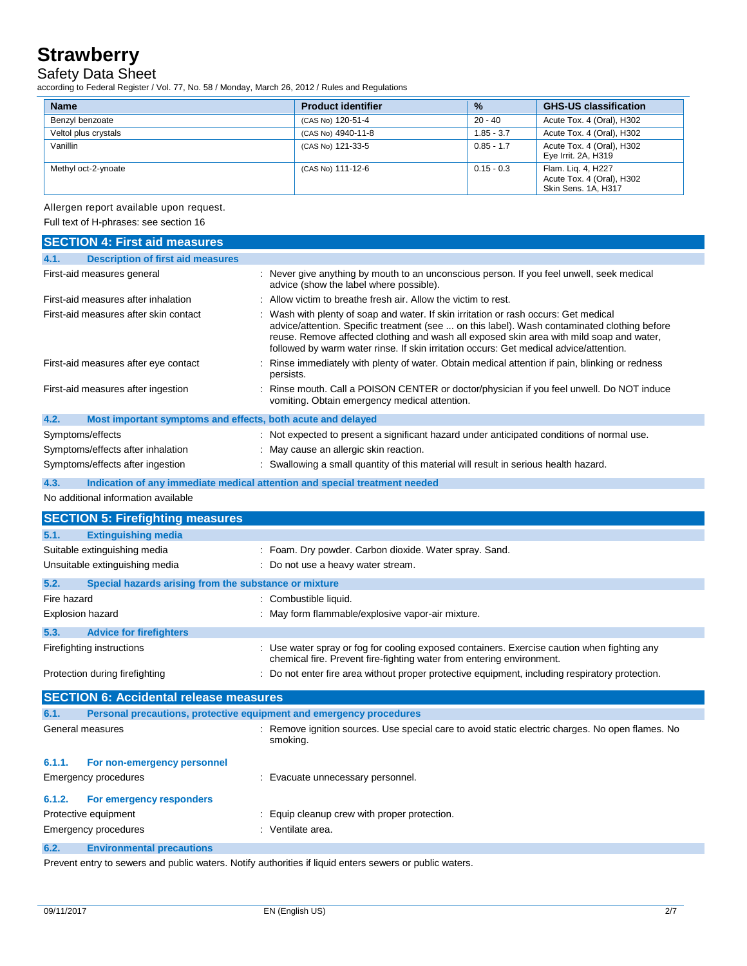### Safety Data Sheet

according to Federal Register / Vol. 77, No. 58 / Monday, March 26, 2012 / Rules and Regulations

| <b>Name</b>          | <b>Product identifier</b> | $\frac{9}{6}$ | <b>GHS-US classification</b>                                           |
|----------------------|---------------------------|---------------|------------------------------------------------------------------------|
| Benzyl benzoate      | (CAS No) 120-51-4         | 20 - 40       | Acute Tox. 4 (Oral), H302                                              |
| Veltol plus crystals | (CAS No) 4940-11-8        | $1.85 - 3.7$  | Acute Tox. 4 (Oral), H302                                              |
| Vanillin             | (CAS No) 121-33-5         | $0.85 - 1.7$  | Acute Tox. 4 (Oral), H302<br>Eye Irrit. 2A, H319                       |
| Methyl oct-2-ynoate  | (CAS No) 111-12-6         | $0.15 - 0.3$  | Flam. Lig. 4, H227<br>Acute Tox. 4 (Oral), H302<br>Skin Sens. 1A, H317 |

### Allergen report available upon request.

Full text of H-phrases: see section 16

| <b>SECTION 4: First aid measures</b>                                               |                                                                                                                                                                                                                                                                                                                                                                          |
|------------------------------------------------------------------------------------|--------------------------------------------------------------------------------------------------------------------------------------------------------------------------------------------------------------------------------------------------------------------------------------------------------------------------------------------------------------------------|
| <b>Description of first aid measures</b><br>4.1.                                   |                                                                                                                                                                                                                                                                                                                                                                          |
| First-aid measures general                                                         | : Never give anything by mouth to an unconscious person. If you feel unwell, seek medical<br>advice (show the label where possible).                                                                                                                                                                                                                                     |
| First-aid measures after inhalation                                                | Allow victim to breathe fresh air. Allow the victim to rest.                                                                                                                                                                                                                                                                                                             |
| First-aid measures after skin contact                                              | Wash with plenty of soap and water. If skin irritation or rash occurs: Get medical<br>advice/attention. Specific treatment (see  on this label). Wash contaminated clothing before<br>reuse. Remove affected clothing and wash all exposed skin area with mild soap and water,<br>followed by warm water rinse. If skin irritation occurs: Get medical advice/attention. |
| First-aid measures after eye contact                                               | Rinse immediately with plenty of water. Obtain medical attention if pain, blinking or redness<br>persists.                                                                                                                                                                                                                                                               |
| First-aid measures after ingestion                                                 | Rinse mouth. Call a POISON CENTER or doctor/physician if you feel unwell. Do NOT induce<br>vomiting. Obtain emergency medical attention.                                                                                                                                                                                                                                 |
| 4.2.<br>Most important symptoms and effects, both acute and delayed                |                                                                                                                                                                                                                                                                                                                                                                          |
| Symptoms/effects                                                                   | : Not expected to present a significant hazard under anticipated conditions of normal use.                                                                                                                                                                                                                                                                               |
| Symptoms/effects after inhalation                                                  | : May cause an allergic skin reaction.                                                                                                                                                                                                                                                                                                                                   |
| Symptoms/effects after ingestion                                                   | Swallowing a small quantity of this material will result in serious health hazard.                                                                                                                                                                                                                                                                                       |
| 4.3.<br>Indication of any immediate medical attention and special treatment needed |                                                                                                                                                                                                                                                                                                                                                                          |
| No additional information available                                                |                                                                                                                                                                                                                                                                                                                                                                          |
| <b>SECTION 5: Firefighting measures</b>                                            |                                                                                                                                                                                                                                                                                                                                                                          |
| <b>Extinguishing media</b><br>5.1.                                                 |                                                                                                                                                                                                                                                                                                                                                                          |
| Suitable extinguishing media                                                       | : Foam. Dry powder. Carbon dioxide. Water spray. Sand.                                                                                                                                                                                                                                                                                                                   |
| Unsuitable extinguishing media                                                     | : Do not use a heavy water stream.                                                                                                                                                                                                                                                                                                                                       |
| 5.2.<br>Special hazards arising from the substance or mixture                      |                                                                                                                                                                                                                                                                                                                                                                          |
| Fire hazard                                                                        | : Combustible liquid.                                                                                                                                                                                                                                                                                                                                                    |
| <b>Explosion hazard</b>                                                            | : May form flammable/explosive vapor-air mixture.                                                                                                                                                                                                                                                                                                                        |
| 5.3.<br><b>Advice for firefighters</b>                                             |                                                                                                                                                                                                                                                                                                                                                                          |
| Firefighting instructions                                                          | : Use water spray or fog for cooling exposed containers. Exercise caution when fighting any<br>chemical fire. Prevent fire-fighting water from entering environment.                                                                                                                                                                                                     |
| Protection during firefighting                                                     | : Do not enter fire area without proper protective equipment, including respiratory protection.                                                                                                                                                                                                                                                                          |
| <b>SECTION 6: Accidental release measures</b>                                      |                                                                                                                                                                                                                                                                                                                                                                          |
| 6.1.<br>Personal precautions, protective equipment and emergency procedures        |                                                                                                                                                                                                                                                                                                                                                                          |
| General measures<br>÷                                                              | Remove ignition sources. Use special care to avoid static electric charges. No open flames. No<br>smoking.                                                                                                                                                                                                                                                               |
| 6.1.1.<br>For non-emergency personnel                                              |                                                                                                                                                                                                                                                                                                                                                                          |
| <b>Emergency procedures</b>                                                        | : Evacuate unnecessary personnel.                                                                                                                                                                                                                                                                                                                                        |
| 6.1.2.<br>For emergency responders                                                 |                                                                                                                                                                                                                                                                                                                                                                          |
| Protective equipment                                                               | : Equip cleanup crew with proper protection.                                                                                                                                                                                                                                                                                                                             |
| <b>Emergency procedures</b>                                                        | : Ventilate area.                                                                                                                                                                                                                                                                                                                                                        |
| 6.2.<br><b>Environmental precautions</b>                                           |                                                                                                                                                                                                                                                                                                                                                                          |

Prevent entry to sewers and public waters. Notify authorities if liquid enters sewers or public waters.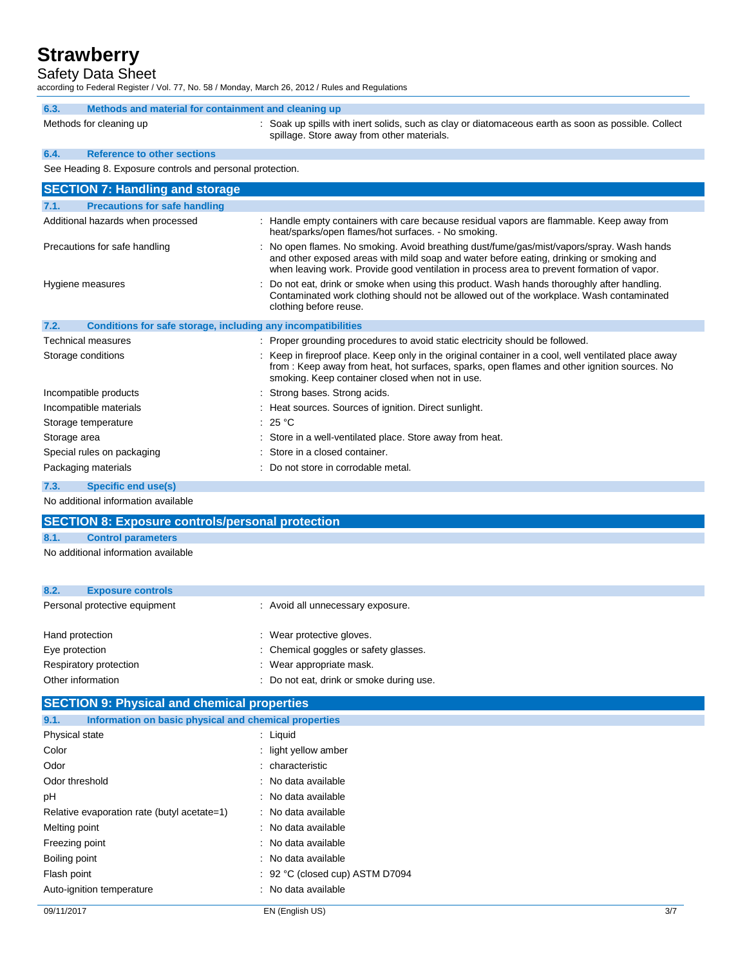Safety Data Sheet

according to Federal Register / Vol. 77, No. 58 / Monday, March 26, 2012 / Rules and Regulations

| 6.3.<br>Methods and material for containment and cleaning up         |                                                                                                                                                                                                                                                                                    |  |
|----------------------------------------------------------------------|------------------------------------------------------------------------------------------------------------------------------------------------------------------------------------------------------------------------------------------------------------------------------------|--|
| Methods for cleaning up                                              | : Soak up spills with inert solids, such as clay or diatomaceous earth as soon as possible. Collect<br>spillage. Store away from other materials.                                                                                                                                  |  |
| <b>Reference to other sections</b><br>6.4.                           |                                                                                                                                                                                                                                                                                    |  |
| See Heading 8. Exposure controls and personal protection.            |                                                                                                                                                                                                                                                                                    |  |
| <b>SECTION 7: Handling and storage</b>                               |                                                                                                                                                                                                                                                                                    |  |
| <b>Precautions for safe handling</b><br>7.1.                         |                                                                                                                                                                                                                                                                                    |  |
| Additional hazards when processed                                    | : Handle empty containers with care because residual vapors are flammable. Keep away from<br>heat/sparks/open flames/hot surfaces. - No smoking.                                                                                                                                   |  |
| Precautions for safe handling                                        | : No open flames. No smoking. Avoid breathing dust/fume/gas/mist/vapors/spray. Wash hands<br>and other exposed areas with mild soap and water before eating, drinking or smoking and<br>when leaving work. Provide good ventilation in process area to prevent formation of vapor. |  |
| Hygiene measures                                                     | : Do not eat, drink or smoke when using this product. Wash hands thoroughly after handling.<br>Contaminated work clothing should not be allowed out of the workplace. Wash contaminated<br>clothing before reuse.                                                                  |  |
| 7.2.<br>Conditions for safe storage, including any incompatibilities |                                                                                                                                                                                                                                                                                    |  |
| <b>Technical measures</b>                                            | : Proper grounding procedures to avoid static electricity should be followed.                                                                                                                                                                                                      |  |
| Storage conditions                                                   | Keep in fireproof place. Keep only in the original container in a cool, well ventilated place away<br>from: Keep away from heat, hot surfaces, sparks, open flames and other ignition sources. No<br>smoking. Keep container closed when not in use.                               |  |
| Incompatible products                                                | Strong bases. Strong acids.                                                                                                                                                                                                                                                        |  |
| Incompatible materials                                               | : Heat sources. Sources of ignition. Direct sunlight.                                                                                                                                                                                                                              |  |
| Storage temperature                                                  | : 25 $^{\circ}$ C                                                                                                                                                                                                                                                                  |  |
| Storage area                                                         | : Store in a well-ventilated place. Store away from heat.                                                                                                                                                                                                                          |  |
| Special rules on packaging                                           | Store in a closed container.                                                                                                                                                                                                                                                       |  |
| Packaging materials                                                  | Do not store in corrodable metal.                                                                                                                                                                                                                                                  |  |
| 7.3.<br><b>Specific end use(s)</b>                                   |                                                                                                                                                                                                                                                                                    |  |
| No additional information available                                  |                                                                                                                                                                                                                                                                                    |  |
| <b>SECTION 8: Exposure controls/personal protection</b>              |                                                                                                                                                                                                                                                                                    |  |
| 8.1.<br><b>Control parameters</b>                                    |                                                                                                                                                                                                                                                                                    |  |
|                                                                      |                                                                                                                                                                                                                                                                                    |  |

No additional information available

| 8.2.<br><b>Exposure controls</b> |                                          |
|----------------------------------|------------------------------------------|
| Personal protective equipment    | : Avoid all unnecessary exposure.        |
| Hand protection                  | : Wear protective gloves.                |
| Eye protection                   | : Chemical goggles or safety glasses.    |
| Respiratory protection           | : Wear appropriate mask.                 |
| Other information                | : Do not eat, drink or smoke during use. |

### **SECTION 9: Physical and chemical properties**

| 09/11/2017                                                    | EN (English US)                            | 3/7 |
|---------------------------------------------------------------|--------------------------------------------|-----|
| Auto-ignition temperature                                     | : No data available                        |     |
| Flash point                                                   | $\therefore$ 92 °C (closed cup) ASTM D7094 |     |
| Boiling point                                                 | : No data available                        |     |
| Freezing point                                                | : No data available                        |     |
| Melting point                                                 | : No data available                        |     |
| Relative evaporation rate (butyl acetate=1)                   | : No data available                        |     |
| рH                                                            | : No data available                        |     |
| Odor threshold                                                | : No data available                        |     |
| Odor                                                          | : characteristic                           |     |
| Color                                                         | : light yellow amber                       |     |
| Physical state                                                | $:$ Liquid                                 |     |
| Information on basic physical and chemical properties<br>9.1. |                                            |     |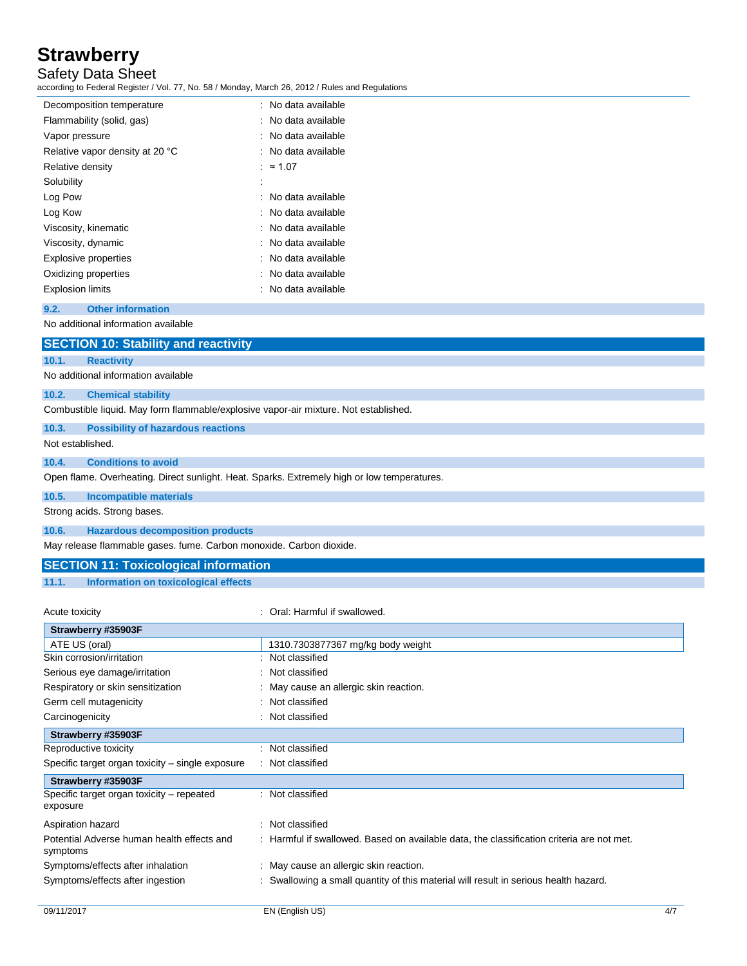Safety Data Sheet

according to Federal Register / Vol. 77, No. 58 / Monday, March 26, 2012 / Rules and Regulations

| : No data available |
|---------------------|
| : No data available |
| : No data available |
| : No data available |
| : $\approx 1.07$    |
|                     |
| : No data available |
| : No data available |
| : No data available |
| : No data available |
| : No data available |
| : No data available |
| : No data available |
|                     |

#### **9.2. Other information**

No additional information available

### **SECTION 10: Stability and reactivity**

**10.1. Reactivity**

No additional information available

#### **10.2. Chemical stability**

Combustible liquid. May form flammable/explosive vapor-air mixture. Not established.

#### **10.3. Possibility of hazardous reactions**

Not established.

#### **10.4. Conditions to avoid**

Open flame. Overheating. Direct sunlight. Heat. Sparks. Extremely high or low temperatures.

### **10.5. Incompatible materials**

Strong acids. Strong bases.

#### **10.6. Hazardous decomposition products**

May release flammable gases. fume. Carbon monoxide. Carbon dioxide.

### **SECTION 11: Toxicological information**

#### **11.1. Information on toxicological effects**

| Acute toxicity                                         | Oral: Harmful if swallowed.                                                               |
|--------------------------------------------------------|-------------------------------------------------------------------------------------------|
| Strawberry #35903F                                     |                                                                                           |
| ATE US (oral)                                          | 1310.7303877367 mg/kg body weight                                                         |
| Skin corrosion/irritation                              | Not classified                                                                            |
| Serious eye damage/irritation                          | : Not classified                                                                          |
| Respiratory or skin sensitization                      | : May cause an allergic skin reaction.                                                    |
| Germ cell mutagenicity                                 | : Not classified                                                                          |
| Carcinogenicity                                        | : Not classified                                                                          |
| Strawberry #35903F                                     |                                                                                           |
| Reproductive toxicity                                  | : Not classified                                                                          |
| Specific target organ toxicity – single exposure       | : Not classified                                                                          |
| Strawberry #35903F                                     |                                                                                           |
| Specific target organ toxicity – repeated<br>exposure  | : Not classified                                                                          |
| Aspiration hazard                                      | : Not classified                                                                          |
| Potential Adverse human health effects and<br>symptoms | : Harmful if swallowed. Based on available data, the classification criteria are not met. |
| Symptoms/effects after inhalation                      | : May cause an allergic skin reaction.                                                    |
| Symptoms/effects after ingestion                       | Swallowing a small quantity of this material will result in serious health hazard.        |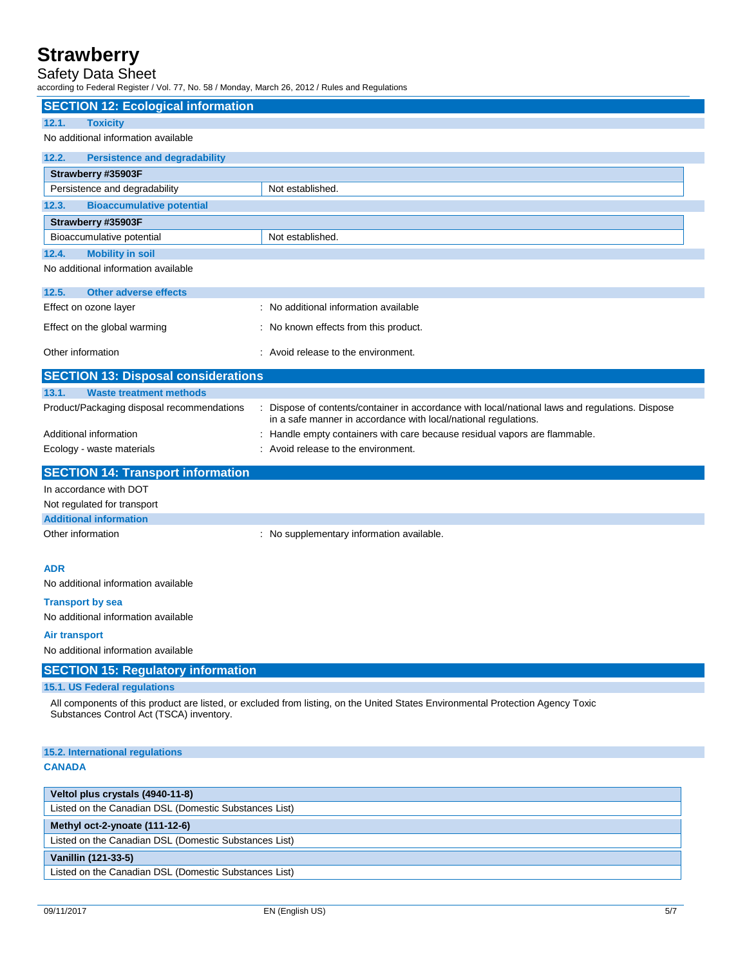### Safety Data Sheet

according to Federal Register / Vol. 77, No. 58 / Monday, March 26, 2012 / Rules and Regulations

| according to I cucial Regional / Vol. 11, No. 00 / Monday, March 20, 2012 / Ruico and Regulations |                                                                                                                                                                  |
|---------------------------------------------------------------------------------------------------|------------------------------------------------------------------------------------------------------------------------------------------------------------------|
| <b>SECTION 12: Ecological information</b>                                                         |                                                                                                                                                                  |
| 12.1.<br><b>Toxicity</b>                                                                          |                                                                                                                                                                  |
| No additional information available                                                               |                                                                                                                                                                  |
| 12.2.<br><b>Persistence and degradability</b>                                                     |                                                                                                                                                                  |
| Strawberry #35903F                                                                                |                                                                                                                                                                  |
| Persistence and degradability                                                                     | Not established.                                                                                                                                                 |
| <b>Bioaccumulative potential</b><br>12.3.                                                         |                                                                                                                                                                  |
| Strawberry #35903F                                                                                |                                                                                                                                                                  |
| Bioaccumulative potential                                                                         | Not established.                                                                                                                                                 |
| <b>Mobility in soil</b><br>12.4.                                                                  |                                                                                                                                                                  |
| No additional information available                                                               |                                                                                                                                                                  |
| 12.5.<br><b>Other adverse effects</b>                                                             |                                                                                                                                                                  |
| Effect on ozone layer                                                                             | : No additional information available                                                                                                                            |
| Effect on the global warming                                                                      | : No known effects from this product.                                                                                                                            |
| Other information                                                                                 | : Avoid release to the environment.                                                                                                                              |
| <b>SECTION 13: Disposal considerations</b>                                                        |                                                                                                                                                                  |
| <b>Waste treatment methods</b><br>13.1.                                                           |                                                                                                                                                                  |
| Product/Packaging disposal recommendations                                                        | Dispose of contents/container in accordance with local/national laws and regulations. Dispose<br>in a safe manner in accordance with local/national regulations. |
| Additional information                                                                            | Handle empty containers with care because residual vapors are flammable.                                                                                         |
| Ecology - waste materials                                                                         | : Avoid release to the environment.                                                                                                                              |
| <b>SECTION 14: Transport information</b>                                                          |                                                                                                                                                                  |
| In accordance with DOT                                                                            |                                                                                                                                                                  |
| Not regulated for transport                                                                       |                                                                                                                                                                  |
| <b>Additional information</b>                                                                     |                                                                                                                                                                  |
| Other information                                                                                 | : No supplementary information available.                                                                                                                        |
| ADR                                                                                               |                                                                                                                                                                  |
| No additional information available                                                               |                                                                                                                                                                  |
| <b>Transport by sea</b>                                                                           |                                                                                                                                                                  |
| No additional information available                                                               |                                                                                                                                                                  |
| Air transport                                                                                     |                                                                                                                                                                  |
| No additional information available                                                               |                                                                                                                                                                  |
| <b>SECTION 15: Regulatory information</b>                                                         |                                                                                                                                                                  |
| 15.1. US Federal regulations                                                                      |                                                                                                                                                                  |
| Substances Control Act (TSCA) inventory.                                                          | All components of this product are listed, or excluded from listing, on the United States Environmental Protection Agency Toxic                                  |
| 15.2. International regulations                                                                   |                                                                                                                                                                  |
| <b>CANADA</b>                                                                                     |                                                                                                                                                                  |
|                                                                                                   |                                                                                                                                                                  |
| Veltol plus crystals (4940-11-8)                                                                  |                                                                                                                                                                  |
| Listed on the Canadian DSL (Domestic Substances List)                                             |                                                                                                                                                                  |
| Methyl oct-2-ynoate (111-12-6)                                                                    |                                                                                                                                                                  |
| Listed on the Canadian DSL (Domestic Substances List)                                             |                                                                                                                                                                  |
| Vanillin (121-33-5)                                                                               |                                                                                                                                                                  |
| Listed on the Canadian DSL (Domestic Substances List)                                             |                                                                                                                                                                  |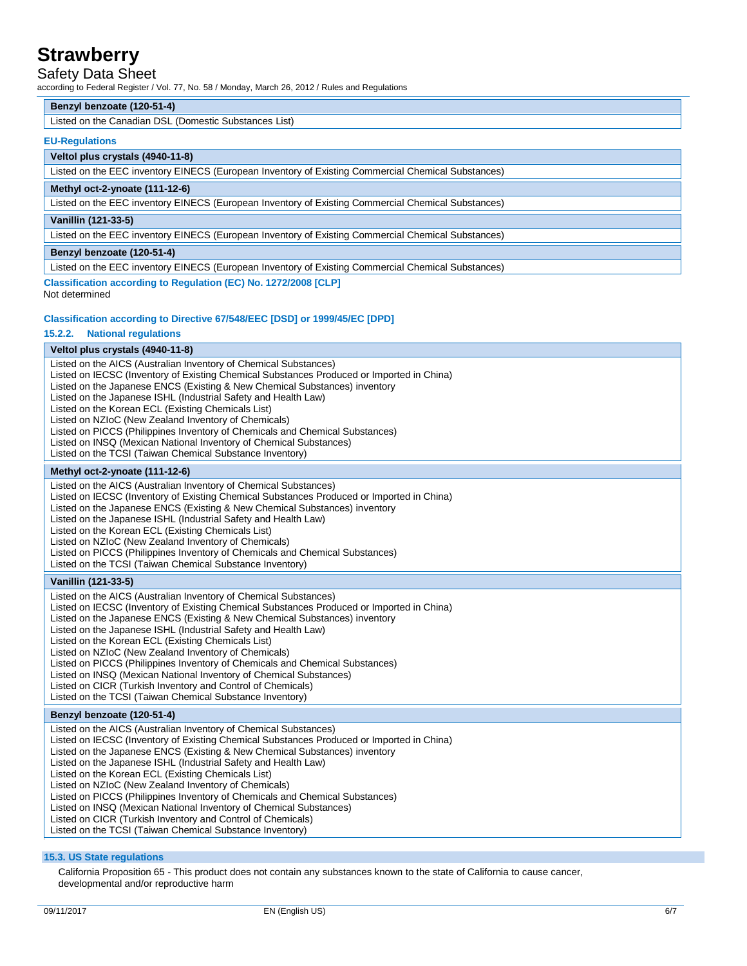### Safety Data Sheet

according to Federal Register / Vol. 77, No. 58 / Monday, March 26, 2012 / Rules and Regulations

#### **Benzyl benzoate (120-51-4)**

Listed on the Canadian DSL (Domestic Substances List)

#### **EU-Regulations**

#### **Veltol plus crystals (4940-11-8)**

Listed on the EEC inventory EINECS (European Inventory of Existing Commercial Chemical Substances)

#### **Methyl oct-2-ynoate (111-12-6)**

Listed on the EEC inventory EINECS (European Inventory of Existing Commercial Chemical Substances)

#### **Vanillin (121-33-5)**

Listed on the EEC inventory EINECS (European Inventory of Existing Commercial Chemical Substances)

#### **Benzyl benzoate (120-51-4)**

Listed on the EEC inventory EINECS (European Inventory of Existing Commercial Chemical Substances)

## **Classification according to Regulation (EC) No. 1272/2008 [CLP]**

Not determined

#### **Classification according to Directive 67/548/EEC [DSD] or 1999/45/EC [DPD]**

#### **15.2.2. National regulations**

# **Veltol plus crystals (4940-11-8)**

Listed on the AICS (Australian Inventory of Chemical Substances) Listed on IECSC (Inventory of Existing Chemical Substances Produced or Imported in China) Listed on the Japanese ENCS (Existing & New Chemical Substances) inventory Listed on the Japanese ISHL (Industrial Safety and Health Law) Listed on the Korean ECL (Existing Chemicals List) Listed on NZIoC (New Zealand Inventory of Chemicals) Listed on PICCS (Philippines Inventory of Chemicals and Chemical Substances) Listed on INSQ (Mexican National Inventory of Chemical Substances) Listed on the TCSI (Taiwan Chemical Substance Inventory) **Methyl oct-2-ynoate (111-12-6)**

Listed on the AICS (Australian Inventory of Chemical Substances) Listed on IECSC (Inventory of Existing Chemical Substances Produced or Imported in China) Listed on the Japanese ENCS (Existing & New Chemical Substances) inventory Listed on the Japanese ISHL (Industrial Safety and Health Law) Listed on the Korean ECL (Existing Chemicals List) Listed on NZIoC (New Zealand Inventory of Chemicals) Listed on PICCS (Philippines Inventory of Chemicals and Chemical Substances) Listed on the TCSI (Taiwan Chemical Substance Inventory)

#### **Vanillin (121-33-5)**

Listed on the AICS (Australian Inventory of Chemical Substances) Listed on IECSC (Inventory of Existing Chemical Substances Produced or Imported in China) Listed on the Japanese ENCS (Existing & New Chemical Substances) inventory Listed on the Japanese ISHL (Industrial Safety and Health Law) Listed on the Korean ECL (Existing Chemicals List) Listed on NZIoC (New Zealand Inventory of Chemicals) Listed on PICCS (Philippines Inventory of Chemicals and Chemical Substances) Listed on INSQ (Mexican National Inventory of Chemical Substances) Listed on CICR (Turkish Inventory and Control of Chemicals) Listed on the TCSI (Taiwan Chemical Substance Inventory)

#### **Benzyl benzoate (120-51-4)**

Listed on the AICS (Australian Inventory of Chemical Substances) Listed on IECSC (Inventory of Existing Chemical Substances Produced or Imported in China) Listed on the Japanese ENCS (Existing & New Chemical Substances) inventory Listed on the Japanese ISHL (Industrial Safety and Health Law) Listed on the Korean ECL (Existing Chemicals List) Listed on NZIoC (New Zealand Inventory of Chemicals) Listed on PICCS (Philippines Inventory of Chemicals and Chemical Substances) Listed on INSQ (Mexican National Inventory of Chemical Substances) Listed on CICR (Turkish Inventory and Control of Chemicals) Listed on the TCSI (Taiwan Chemical Substance Inventory)

#### **15.3. US State regulations**

California Proposition 65 - This product does not contain any substances known to the state of California to cause cancer, developmental and/or reproductive harm